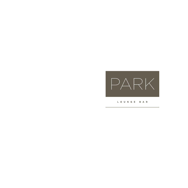

LOUNGE BAR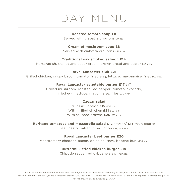## DAY MENU

## **Roasted tomato soup £8**

Served with ciabatta croutons *211 kcal*

## **Cream of mushroom soup £8**

Served with ciabatta croutons *238 kcal*

## **Traditional oak smoked salmon £14**

Horseradish, shallot and caper cream, brown bread and butter *288 kcal*

## **Royal Lancaster club £21**

Grilled chicken, crispy bacon, tomato, fried egg, lettuce, mayonnaise, fries *922 kcal*

## **Royal Lancaster vegetable burger £17** (V)

Grilled mushroom, roasted red pepper, tomato, avocado, fried egg, lettuce, mayonnaise, fries *870 kcal*

## **Caesar salad**

"Classic" option **£15** *454 kcal* With grilled chicken **£21** *601 kcal* With sautéed prawns **£25** *559 kcal*

**Heritage tomatoes and mozzarella salad £12** starter/ **£16** main course

Basil pesto, balsamic reduction *439/659 kcal*

## **Royal Lancaster beef burger £20**

Montgomery cheddar, bacon, onion chutney, brioche bun *1036 kcal*

## **Buttermilk-fried chicken burger £19**

Chipotle sauce, red cabbage slaw *1438 kcal*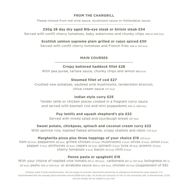## **FROM THE CHARGRILL**

Please choose from red wine sauce, mushroom sauce or Hollandaise sauce.

## **230g 28 day dry aged Rib-eye steak or Sirloin steak £34**

Served with confit cherry tomatoes, baby watercress and chunky chips *906 or 843 kcal*

## **Scottish salmon supreme plain grilled or cajun spiced £30**

Served with confit cherry tomatoes and French fries *548 or 631 kcal*

## **MAIN COURSES**

## **Crispy battered haddock fillet £28**

With pea puree, tartare sauce, chunky chips and lemon *880 kcal*

## **Steamed fillet of cod £27**

Crushed new potatoes, sauteed wild mushrooms, tenderstem broccoli, chive cream sauce *577 kcal*

## **Indian style curry £25**

Tender lamb or chicken pieces cooked in a fragrant curry sauce and served with basmati rice and mini poppadoms *655 or 590 kcal*

## **Puy lentils and squash shepherd's pie £22**

Served with mixed salad and sourdough bread *537 kcal*

## **Sweet potato, chickpeas, spinach and coconut cream curry £22**

With jasmine rice, toasted flaked almonds, crispy shallots and raisin *1172 kcal*

## **Margherita pizza plus three toppings of your choice £19** *430 kcal*

Ham *63 kcal*, pepperoni *99 kcal*, grilled chicken *23 kcal*, mushrooms *4 kcal*, olives *21 kcal*, onion *8 kcal*, pepper *5 kcal*, anchovies *42 kcal*, capers *60 kcal*, spinach *5 kcal*, tuna *38 kcal*, prawns *13 kcal*, cherry tomatoes *4 kcal*, bacon *45 kcal,* chilli *8 kcal*

## **Penne pasta or spaghetti £18**

With your choice of roasted vine tomato *181 or 195 kcal*, carbonara *287 or 327 kcal*, bolognese *281 or 321 kcal*, pesto *634 or 624 kcal* or arrabiata sauce *384 or 424 kcal*, chicken *83 kcal* (supplement of £6)

*Children under 5 dine complimentary. We are happy to provide information pertaining to allergies & intolerances upon request. It is recommended that the average adult consumes around 2000 kcal a day. All prices are inclusive of VAT at the prevailing rate. A discretionary 12.5% service charge will be added to your bill.*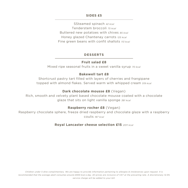### **SIDES £5**

SSteamed spinach *42 kcal* Tenderstem broccoli *75 kcal* Buttered new potatoes with chives *85 kcal* Honey glazed Chantenay carrots *125 kcal* Fine green beans with confit shallots *113 kcal*

### **DESSERTS**

## **Fruit salad £8**

Mixed ripe seasonal fruits in a sweet vanilla syrup *70 kcal*

## **Bakewell tart £8**

Shortcrust pastry tart filled with layers of cherries and frangipane topped with almond flakes. Served warm with whipped cream *519 kcal*

## **Dark chocolate mousse £8** (Vegan)

Rich, smooth and velvety plant based chocolate mousse coated with a chocolate glaze that sits on light vanilla sponge *381 kcal*

## **Raspberry rocher £8** (Vegan)

Raspberry chocolate sphere, freeze dried raspberry and chocolate glaze with a raspberry coulis *187 kcal*

## **Royal Lancaster cheese selection £15** *2011 kcal*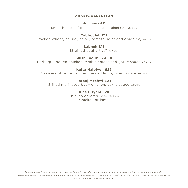## **ARABIC SELECTION**

## **Houmous £11**

Smooth paste of of chickpeas and tahini (V) *304 kcal*

## **Tabbouleh £11**

Cracked wheat, parsley salad, tomato, mint and onion (V) *124 kcal*

**Labneh £11** Strained yoghurt (V) *197 kcal*

**Shish Taouk £24.50** Barbeque boned chicken, Arabic spices and garlic sauce *451 kcal*

**Kafta Halbiveh £25** Skewers of grilled spiced minced lamb, tahini sauce *613 kcal*

**Farouj Meshwi £24** Grilled marinated baby chicken, garlic sauce *810 kcal*

> **Rice Biryani £28** Chicken or lamb *1965 or 1548 kcal* Chicken or lamb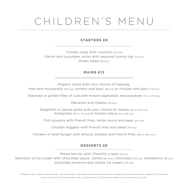# CHILDREN'S MENU

## **STARTERS £8**

Tomato soup with croutons *211 kcal* Carrot and cucumber sticks with seasonal humus dip *110 kcal* Green salad *210 kcal*

## **MAINS £12**

Organic pizza with your choice of topping:

Ham and mozzarella *316 kcal*, tomato and basil *189 kcal* or chicken and basil *270 kcal*

Steamed or grilled fillet of cod with mixed vegetables and potatoes *167 or 174 kcal*

Macaroni and cheese *218 kcal*

Spaghetti or penne pasta with your choice of cheese *195 or 187 kcal*, bolognese *145 or 141 kcal* or tomato sauce *91 or 89 kcal*

Fish goujons with French fries, tartar sauce and peas *347 kcal*

Chicken nuggets with French fries and salad *314 kcal*

Chicken or beef burger with lettuce, tomato and French fries *484 or 540 kcal*

## **DESSERTS £8**

Mixed berries with Chantilly cream *56 kcal*

Selection of ice cream with chocolate sauce; vanilla *287 kcal*, chocolate *279 kcal*, strawberry *196 kcal* Chocolate brownie and vanilla ice cream *570 kcal*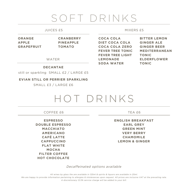## SOFT DRINKS

## JUICES £5

#### MIXERS £5

| <b>ORANGE</b>     | <b>CRANBERRY</b> | <b>COCA COLA</b>        | <b>BITTER LEMON</b>  |
|-------------------|------------------|-------------------------|----------------------|
| <b>APPLE</b>      | <b>PINEAPPLE</b> | <b>DIET COCA COLA</b>   | <b>GINGER ALE</b>    |
| <b>GRAPEFRUIT</b> | <b>TOMATO</b>    | <b>COCA COLA ZERO</b>   | <b>GINGER BEER</b>   |
|                   |                  | <b>FEVER TREE TONIC</b> | <b>MEDITERRANEAN</b> |
|                   |                  | <b>FEVER TREE LIGHT</b> | <b>TONIC</b>         |
|                   | WATER            | <b>LEMONADE</b>         | <b>ELDERFLOWER</b>   |
|                   |                  | <b>SODA WATER</b>       | <b>TONIC</b>         |

## **DECANTAE**

still or sparkling SMALL £2 / LARGE £5

#### **EVIAN STILL OR PERRIER SPARKLING**

SMALL £3 / LARGE £6



COFFEE £6

**ESPRESSO DOUBLE ESPRESSO MACCHIATO AMERICANO CAFÉ LATTE CAPPUCCINO FLAT WHITE MOCHA FILTER COFFEE HOT CHOCOLATE** 

TEA £6

**ENGLISH BREAKFAST EARL GREY GREEN MINT VERY BERRY CHAMOMILE LEMON & GINGER** 

*Decaffeinated options available*

*All wines by glass the are available in 125ml & spirits & liquors are available in 25ml.*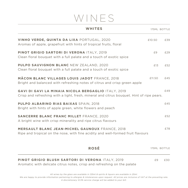## WINES

| <b>WHITES</b>                                                                                                                                    | 175ML BOTTLE |     |
|--------------------------------------------------------------------------------------------------------------------------------------------------|--------------|-----|
| VINHO VERDE, QUINTA DA LIXA PORTUGAL, 2020<br>Aromas of apple, grapefruit with hints of tropical fruits, floral                                  | £10.50       | £39 |
| PINOT GRIGIO SARTORI DI VERONA ITALY, 2019<br>Clean floral bouquet with a full palate and a touch of exotic spice                                | £9           | £29 |
| <b>PULPO SAUVIGNON BLANC NEW ZEALAND, 2020</b><br>Clean floral bouquet with a full palate and a touch of exotic spice                            | £13          | £52 |
| <b>MÂCON BLANC VILLAGES LOUIS JADOT FRANCE, 2018</b><br>Bright and balanced with refreshing notes of citrus and crisp green apple                | £11.50       | £45 |
| GAVI DI GAVI LA MINAIA NICOLA BERGAGLIO ITALY, 2019<br>Crisp and refreshing with a light, fresh, mineral and citrus bouquet. Hint of ripe pears. |              | £49 |
| <b>PULPO ALBARINO RIAS BAIXAS SPAIN, 2018</b><br>Bright with hints of apple green, white flowers and peach                                       |              | £45 |
| <b>SANCERRE BLANC FRANC MILLET FRANCE, 2020</b><br>A bright wine with crisp minerality and ripe citrus flavours                                  |              | £52 |
| <b>MERSAULT BLANC JEAN-MICHEL GAUNOUX FRANCE, 2018</b><br>Ripe and tropical on the nose, with fine acidity and well-formed fruit flavours        |              | £78 |
| <b>ROSÉ</b>                                                                                                                                      | 175ML BOTTLE |     |
| <b>PINOT GRIGIO BLUSH SARTORI DI VERONA ITALY, 2019</b>                                                                                          | £9           | £30 |

Aromatic with delicate citrus notes, crisp and refreshing on the palate

*All wines by the glass are available in 125ml & spirits & liquors are available in 25ml.*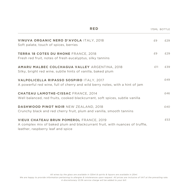| <b>RED</b>                                                                                                                                                          |     | 175ML BOTTLE |
|---------------------------------------------------------------------------------------------------------------------------------------------------------------------|-----|--------------|
| VINUVA ORGANIC NERO D'AVOLA ITALY, 2018<br>Soft palate, touch of spices, berries                                                                                    | £9  | £29          |
| <b>TERRA 18 COTES DU RHONE FRANCE, 2018</b><br>Fresh red fruit, notes of fresh eucalyptus, silky tannins                                                            | £9  | £29          |
| AMARU MALBEC COLCHAGUA VALLEY ARGENTINA, 2018<br>Silky, bright red wine, subtle hints of vanilla, baked plum                                                        | £11 | £39          |
| VALPOLICELLA RIPASSO SOSPIRO ITALY, 2017<br>A powerful red wine, full of cherry and wild berry notes, with a hint of jam                                            |     | £49          |
| <b>CHATEAU LAMOTHE-CISSAC FRANCE, 2014</b><br>Well balanced, red fruits, cooked blackcurrant, soft spices, subtle vanilla                                           |     | £46          |
| <b>DASHWOOD PINOT NOIR NEW ZEALAND, 2018</b><br>Crunchy black and red cherry fruit, plum and vanilla, smooth tannins                                                |     | £40          |
| <b>VIEUX CHATEAU BRUN POMEROL FRANCE, 2019</b><br>A complex mix of baked plum and blackcurrant fruit, with nuances of truffle,<br>leather, raspberry leaf and spice |     | £53          |

*All wines by the glass are available in 125ml & spirits & liquors are available in 25ml.*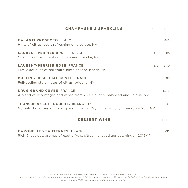| <b>CHAMPAGNE &amp; SPARKLING</b>                                                                                                   | 125ML BOTTLE |       |
|------------------------------------------------------------------------------------------------------------------------------------|--------------|-------|
| <b>GALANTI PROSECCO ITALY</b><br>Hints of citrus, pear, refreshing on a palate, NV                                                 |              | f45   |
| <b>LAURENT-PERRIER BRUT FRANCE</b><br>Crisp, clean, with hints of citrus and brioche, NV                                           | £16          | £85   |
| <b>LAURENT-PERRIER ROSÉ FRANCE</b><br>Lively bouquet of red fruits, hints of rose, peach, NV                                       | £19          | £110  |
| <b>BOLLINGER SPECIAL CUVÉE FRANCE</b><br>Full-bodied style, notes of citrus, brioche, NV                                           |              | £85   |
| <b>KRUG GRAND CUVÉE FRANCE</b><br>A blend of 10 vintages and wines from 25 Crus, rich, balanced and unique, NV                     |              | £210  |
| <b>THOMSON &amp; SCOTT NOUGHTY BLANC UK</b><br>Non-alcoholic, vegan, halal sparkling wine. Dry, with crunchy, ripe-apple fruit. NV |              | £37   |
| <b>DESSERT WINE</b>                                                                                                                |              | 100ML |

## **GARONELLES SAUTERNES** FRANCE **EXAMPLEMENT CONSUMING A REAL EXAMPLEMENT CONSUMING A REAL EXAMPLEMENT CONSUMING A REAL EXAMPLEMENT CONSUMING A REAL EXAMPLEMENT CONSUMING A REAL EXAMPLEMENT CONSUMING A REAL EXAMPLEMENT CONSU**

Rich & luscious, aromas of exotic fruis, citrus, honeyed apricot, ginger, 2016/17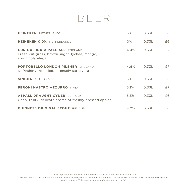## BEER

| <b>HEINEKEN</b> NETHERLANDS                                                                                 | 5%      | 0.33L | £6 |
|-------------------------------------------------------------------------------------------------------------|---------|-------|----|
| HEINEKEN 0.0% NETHERLANDS                                                                                   | O%      | 0.33L | £6 |
| <b>CURIOUS INDIA PALE ALE ENGLAND</b><br>Fresh-cut grass, brown sugar, lychee, mango,<br>stunningly elegant | $4.4\%$ | 0.331 | £7 |
| <b>PORTOBELLO LONDON PILSNER ENGLAND</b><br>Refreshing, rounded, intensely satisfying                       | 4.6%    | 0.33L | f7 |
| SINGHA THAILAND                                                                                             | 5%      | 0.331 | F6 |
| PERONI NASTRO AZZURRO ITALY                                                                                 | 5.1%    | 0.33L | £7 |
| <b>ASPALL DRAUGHT CYDER SUFFOLK</b><br>Crisp, fruity, delicate aroma of freshly pressed apples              | 5.5%    | 0.33L | £6 |
| <b>GUINNESS ORIGINAL STOUT IRELAND</b>                                                                      | 4.2%    | 0.33L | £6 |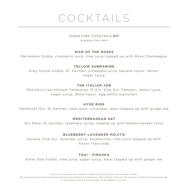# COCKTAILS

#### SIGNATURE COCKTAILS **£17** *available from 4pm*

## **WAR OF THE ROSES**

Belvedere Vodka, cranberry juice, lime juice topped up with Rosé Champagne

## **YELLOW SUBMARINE**

Grey Goose Vodka, St. German, pineapple juice, banana liquor, lemon, sugar syrup

## **THE ITALIAN JOB**

Red berry tea-Infused Tanqueray 10 Gin, Sloe Gin, Campari, lemon juice, sugar syrup, Rosé liquor, egg white (optional)

## **HYDE RIDE**

Hendricks Gin, St German, lime juice, cucumber, basil topped up with ginger ale

## **MEDITERRANEAN G&T**

Gin Mare, St German, rosemary syrup, topped up with Mediterranean tonic

## **BLUEBERRY LAVENDER MOJITO**

Havana Club 3yr, lavender syrup, blueberries, lime juice topped up with Fever Tree soda

## **THAI - PIROSKA**

Ketel One Vodka, lime juice, sugar syrup, basil topped up with ginger ale

*All wines by the glass are available in 125ml & spirits & liquors are available in 25ml.*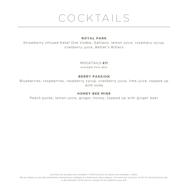# COCKTAILS

## **ROYAL PARK**

Strawberry infused Ketel One Vodka, Galliano, lemon juice, rosemary syrup, cranberry juice, Better's Bitters

## MOCKTAILS **£11**

*available from 4pm*

## **BERRY PASSION**

Blueberries, raspberries, raspberry syrup, cranberry juice, lime juice, topped up with soda

## **HONEY BEE MINE**

Peach purée, lemon juice, ginger, honey, topped up with ginger beer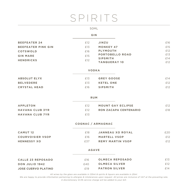# SPIRITS

#### 50ML

#### **GIN**

| <b>BEEFEATER 24</b>       | £12 | JINZU                  | £16 |
|---------------------------|-----|------------------------|-----|
| <b>BEEFEATER PINK GIN</b> | £13 | <b>MONKEY 47</b>       | £15 |
| <b>COTSWOLD</b>           | £16 | <b>PLYMOUTH</b>        | £12 |
| <b>GIN MARE</b>           | £15 | <b>PORTOBELLO ROAD</b> | £13 |
| <b>HENDRICKS</b>          | £12 | <b>SIPSMITH</b>        | £14 |
|                           |     | <b>TANQUERAY 10</b>    | £12 |
|                           |     |                        |     |

#### **VODKA**

| <b>ABSOLUT ELYX</b> | f13 | <b>GREY GOOSE</b> | £14 |
|---------------------|-----|-------------------|-----|
| <b>BELVEDERE</b>    | f13 | <b>KETEL ONE</b>  | £12 |
| <b>CRYSTAL HEAD</b> | f16 | <b>SIPSMITH</b>   | £12 |

#### **RUM**

| <b>APPLETON</b>        |            | <b>MOUNT GAY ECLIPSE</b>     |     |
|------------------------|------------|------------------------------|-----|
| <b>HAVANA CLUB 3YR</b> | <b>€12</b> | <b>RON ZACAPA CENTENARIO</b> | £18 |
| <b>HAVANA CLUB 7YR</b> | £13        |                              |     |

#### **COGNAC / ARMAGNAC**

| <b>CAMUT 12</b>         | £18 | JANNEAU XO ROYAL        | £20 |
|-------------------------|-----|-------------------------|-----|
| <b>COURVOISIER VSOP</b> | f16 | <b>MARTELL VSOP</b>     | £12 |
| <b>HENNESSY XO</b>      | £37 | <b>REMY MARTIN VSOP</b> | £12 |

#### **AGAVE**

| CALLE 23 REPOSADO          | f16 | <b>OLMECA REPOSADO</b> | £13 |
|----------------------------|-----|------------------------|-----|
| <b>DON JULIO 1942</b>      | FAD | <b>OLMECA SILVER</b>   | f12 |
| <b>JOSE CUERVO PLATINO</b> | f19 | <b>PATRON SILVER</b>   | f14 |

*All wines by the glass are available in 125ml & spirits & liquors are available in 25ml.*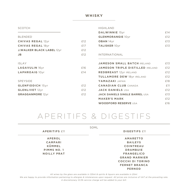## **WHISKY**

#### SCOTCH

BLENDED

ISLAY

SPEYSIDE

**CHIVAS REGAL** 12yr **E12 CHIVAS REGAL** 18yr **E17 J.WALKER BLACK LABEL** 12yr **£12 JB** £12

LAGAVULIN 16yr **£16** LAPHROAIG<sup>10</sup>yr £14

**GLENFIDDICH** 15yr **£12** GLENLIVET 12yr **£12** GRAGGANMORE<sup>12yr</sup> £12 HIGHLAND

| <b>DALWINNIE</b> 15yr    | f14 |
|--------------------------|-----|
| <b>GLENMORANGIE 10yr</b> | F12 |
| <b>OBAN</b> 14yr         | £13 |
| <b>TALISKER 10yr</b>     | £13 |

#### INTERNATIONAL

| <b>JAMESON SMALL BATCH IRELAND</b>      | £13 |
|-----------------------------------------|-----|
| <b>JAMESON TRIPLE DISTILLED IRELAND</b> | f12 |
| <b>REDBREAST 12yr IRELAND</b>           | f12 |
| <b>TULLAMORE DEW 18yr IRELAND</b>       | f12 |
| YAMAZAKI JAPAN                          | £18 |
| <b>CANADIAN CLUB CANADA</b>             | f11 |
| <b>JACK DANIELS USA</b>                 | f12 |
| <b>JACK DANIELS SINGLE BARREL USA</b>   | f13 |
| <b>MAKER'S MARK</b>                     | f12 |
| <b>WOODFORD RESERVE USA</b>             | f16 |

## APERITIFS & DIGESTIFS

|                      | 50ML                    |
|----------------------|-------------------------|
| <b>APERITIFS £11</b> | <b>DIGESTIFS £11</b>    |
| <b>APEROL</b>        | <b>AMARETTO</b>         |
| <b>CAMPARI</b>       | <b>BAILEYS</b>          |
| KÜMMEL               | <b>COINTREAU</b>        |
| PIMMS NO. 1          | <b>DRAMBUIE</b>         |
| <b>NOILLY PRAT</b>   | <b>FRANGELICO</b>       |
|                      | <b>GRAND MARNIER</b>    |
|                      | <b>COCCHI DI TORINO</b> |
|                      | <b>FERNET BRANCA</b>    |
|                      | <b>PERNOD</b>           |

*All wines by the glass are available in 125ml & spirits & liquors are available in 25ml.*